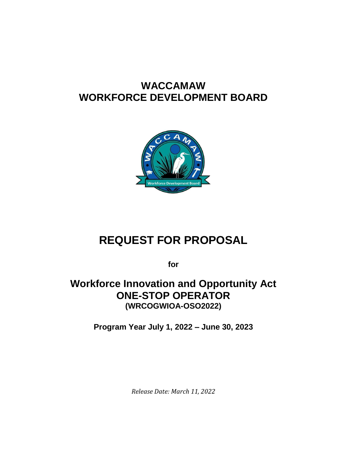# **WACCAMAW WORKFORCE DEVELOPMENT BOARD**



# **REQUEST FOR PROPOSAL**

**for**

# **Workforce Innovation and Opportunity Act ONE-STOP OPERATOR (WRCOGWIOA-OSO2022)**

**Program Year July 1, 2022 – June 30, 2023**

*Release Date: March 11, 2022*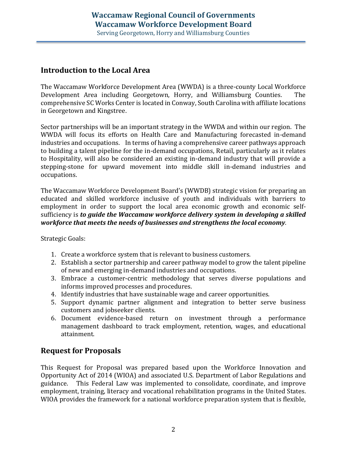### **Introduction to the Local Area**

The Waccamaw Workforce Development Area (WWDA) is a three-county Local Workforce Development Area including Georgetown, Horry, and Williamsburg Counties. The comprehensive SC Works Center is located in Conway, South Carolina with affiliate locations in Georgetown and Kingstree.

Sector partnerships will be an important strategy in the WWDA and within our region. The WWDA will focus its efforts on Health Care and Manufacturing forecasted in-demand industries and occupations. In terms of having a comprehensive career pathways approach to building a talent pipeline for the in-demand occupations, Retail, particularly as it relates to Hospitality, will also be considered an existing in-demand industry that will provide a stepping-stone for upward movement into middle skill in-demand industries and occupations.

The Waccamaw Workforce Development Board's (WWDB) strategic vision for preparing an educated and skilled workforce inclusive of youth and individuals with barriers to employment in order to support the local area economic growth and economic selfsufficiency is *to guide the Waccamaw workforce delivery system in developing a skilled workforce that meets the needs of businesses and strengthens the local economy.*

Strategic Goals:

- 1. Create a workforce system that is relevant to business customers.
- 2. Establish a sector partnership and career pathway model to grow the talent pipeline of new and emerging in-demand industries and occupations.
- 3. Embrace a customer-centric methodology that serves diverse populations and informs improved processes and procedures.
- 4. Identify industries that have sustainable wage and career opportunities.
- 5. Support dynamic partner alignment and integration to better serve business customers and jobseeker clients.
- 6. Document evidence-based return on investment through a performance management dashboard to track employment, retention, wages, and educational attainment.

### **Request for Proposals**

This Request for Proposal was prepared based upon the Workforce Innovation and Opportunity Act of 2014 (WIOA) and associated U.S. Department of Labor Regulations and guidance. This Federal Law was implemented to consolidate, coordinate, and improve employment, training, literacy and vocational rehabilitation programs in the United States. WIOA provides the framework for a national workforce preparation system that is flexible,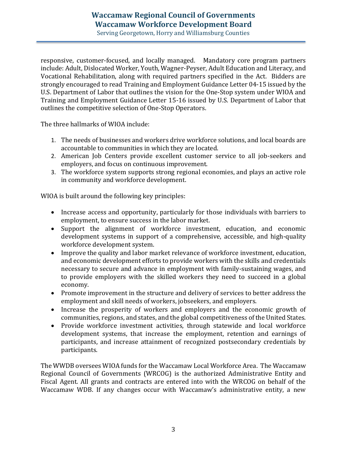Serving Georgetown, Horry and Williamsburg Counties

responsive, customer-focused, and locally managed. Mandatory core program partners include: Adult, Dislocated Worker, Youth, Wagner-Peyser, Adult Education and Literacy, and Vocational Rehabilitation, along with required partners specified in the Act. Bidders are strongly encouraged to read Training and Employment Guidance Letter 04-15 issued by the U.S. Department of Labor that outlines the vision for the One-Stop system under WIOA and Training and Employment Guidance Letter 15-16 issued by U.S. Department of Labor that outlines the competitive selection of One-Stop Operators.

The three hallmarks of WIOA include:

- 1. The needs of businesses and workers drive workforce solutions, and local boards are accountable to communities in which they are located.
- 2. American Job Centers provide excellent customer service to all job-seekers and employers, and focus on continuous improvement.
- 3. The workforce system supports strong regional economies, and plays an active role in community and workforce development.

WIOA is built around the following key principles:

- Increase access and opportunity, particularly for those individuals with barriers to employment, to ensure success in the labor market.
- Support the alignment of workforce investment, education, and economic development systems in support of a comprehensive, accessible, and high-quality workforce development system.
- Improve the quality and labor market relevance of workforce investment, education, and economic development efforts to provide workers with the skills and credentials necessary to secure and advance in employment with family-sustaining wages, and to provide employers with the skilled workers they need to succeed in a global economy.
- Promote improvement in the structure and delivery of services to better address the employment and skill needs of workers, jobseekers, and employers.
- Increase the prosperity of workers and employers and the economic growth of communities, regions, and states, and the global competitiveness of the United States.
- Provide workforce investment activities, through statewide and local workforce development systems, that increase the employment, retention and earnings of participants, and increase attainment of recognized postsecondary credentials by participants.

The WWDB oversees WIOA funds for the Waccamaw Local Workforce Area. The Waccamaw Regional Council of Governments (WRCOG) is the authorized Administrative Entity and Fiscal Agent. All grants and contracts are entered into with the WRCOG on behalf of the Waccamaw WDB. If any changes occur with Waccamaw's administrative entity, a new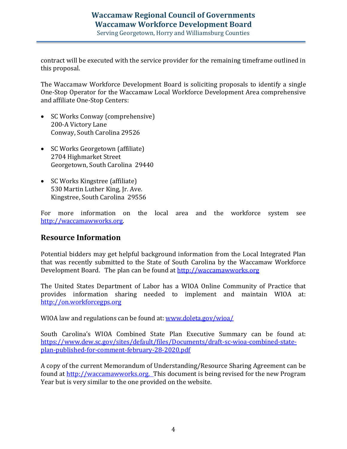Serving Georgetown, Horry and Williamsburg Counties

contract will be executed with the service provider for the remaining timeframe outlined in this proposal.

The Waccamaw Workforce Development Board is soliciting proposals to identify a single One-Stop Operator for the Waccamaw Local Workforce Development Area comprehensive and affiliate One-Stop Centers:

- SC Works Conway (comprehensive) 200-A Victory Lane Conway, South Carolina 29526
- SC Works Georgetown (affiliate) 2704 Highmarket Street Georgetown, South Carolina 29440
- SC Works Kingstree (affiliate) 530 Martin Luther King, Jr. Ave. Kingstree, South Carolina 29556

For more information on the local area and the workforce system see [http://waccamawworks.org.](http://waccamawworks.org/)

#### **Resource Information**

Potential bidders may get helpful background information from the Local Integrated Plan that was recently submitted to the State of South Carolina by the Waccamaw Workforce Development Board. The plan can be found at [http://waccamawworks.org](http://waccamawworks.org/)

The United States Department of Labor has a WIOA Online Community of Practice that provides information sharing needed to implement and maintain WIOA at: [http://on.workforcegps.org](http://on.workforcegps.org/)

WIOA law and regulations can be found at: [www.doleta.gov/wioa/](http://www.doleta.gov/wioa/)

South Carolina's WIOA Combined State Plan Executive Summary can be found at: [https://www.dew.sc.gov/sites/default/files/Documents/draft-sc-wioa-combined-state](https://www.dew.sc.gov/sites/default/files/Documents/draft-sc-wioa-combined-state-plan-published-for-comment-february-28-2020.pdf)[plan-published-for-comment-february-28-2020.pdf](https://www.dew.sc.gov/sites/default/files/Documents/draft-sc-wioa-combined-state-plan-published-for-comment-february-28-2020.pdf)

A copy of the current Memorandum of Understanding/Resource Sharing Agreement can be found at [http://waccamawworks.org.](http://waccamawworks.org/) This document is being revised for the new Program Year but is very similar to the one provided on the website.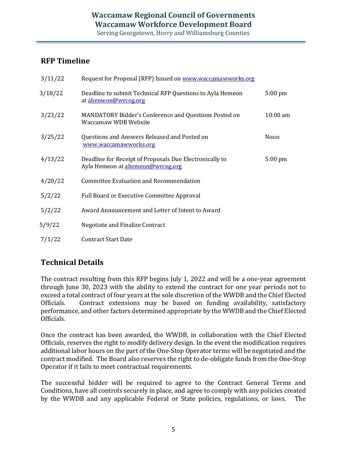### **RFP Timeline**

| 3/11/22 | Request for Proposal (RFP) Issued on www.waccamawworks.org                                  |                   |
|---------|---------------------------------------------------------------------------------------------|-------------------|
| 3/18/22 | Deadline to submit Technical RFP Questions to Ayla Hemeon<br>at ahemeon@wrcog.org           | $5:00 \text{ pm}$ |
| 3/23/22 | MANDATORY Bidder's Conference and Questions Posted on<br><b>Waccamaw WDB Website</b>        | $10:00$ am        |
| 3/25/22 | Questions and Answers Released and Posted on<br>www.waccamawworks.org                       | Noon              |
| 4/13/22 | Deadline for Receipt of Proposals Due Electronically to<br>Ayla Hemeon at ahemeon@wrcog.org | $5:00 \text{ pm}$ |
| 4/20/22 | <b>Committee Evaluation and Recommendation</b>                                              |                   |
| 5/2/22  | <b>Full Board or Executive Committee Approval</b>                                           |                   |
| 5/2/22  | Award Announcement and Letter of Intent to Award                                            |                   |
| 5/9/22  | Negotiate and Finalize Contract                                                             |                   |
| 7/1/22  | <b>Contract Start Date</b>                                                                  |                   |

## **Technical Details**

The contract resulting from this RFP begins July 1, 2022 and will be a one-year agreement through June 30, 2023 with the ability to extend the contract for one year periods not to exceed a total contract of four years at the sole discretion of the WWDB and the Chief Elected Officials. Contract extensions may be based on funding availability, satisfactory performance, and other factors determined appropriate by the WWDB and the Chief Elected Officials.

Once the contract has been awarded, the WWDB, in collaboration with the Chief Elected Officials, reserves the right to modify delivery design. In the event the modification requires additional labor hours on the part of the One-Stop Operator terms will be negotiated and the contract modified. The Board also reserves the right to de-obligate funds from the One-Stop Operator if it fails to meet contractual requirements.

The successful bidder will be required to agree to the Contract General Terms and Conditions, have all controls securely in place, and agree to comply with any policies created by the WWDB and any applicable Federal or State policies, regulations, or laws. The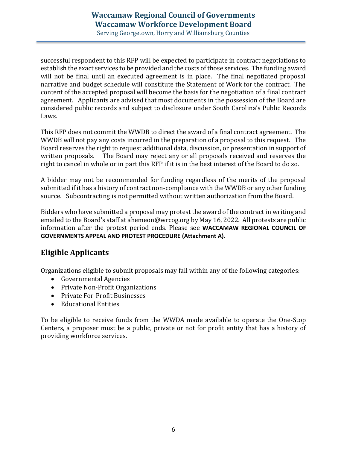Serving Georgetown, Horry and Williamsburg Counties

successful respondent to this RFP will be expected to participate in contract negotiations to establish the exact services to be provided and the costs of those services. The funding award will not be final until an executed agreement is in place. The final negotiated proposal narrative and budget schedule will constitute the Statement of Work for the contract. The content of the accepted proposal will become the basis for the negotiation of a final contract agreement. Applicants are advised that most documents in the possession of the Board are considered public records and subject to disclosure under South Carolina's Public Records Laws.

This RFP does not commit the WWDB to direct the award of a final contract agreement. The WWDB will not pay any costs incurred in the preparation of a proposal to this request. The Board reserves the right to request additional data, discussion, or presentation in support of written proposals. The Board may reject any or all proposals received and reserves the right to cancel in whole or in part this RFP if it is in the best interest of the Board to do so.

A bidder may not be recommended for funding regardless of the merits of the proposal submitted if it has a history of contract non-compliance with the WWDB or any other funding source. Subcontracting is not permitted without written authorization from the Board.

Bidders who have submitted a proposal may protest the award of the contract in writing and emailed to the Board's staff at ahemeon@wrcog.org by May 16, 2022. All protests are public information after the protest period ends. Please see **WACCAMAW REGIONAL COUNCIL OF GOVERNMENTS APPEAL AND PROTEST PROCEDURE (Attachment A).**

### **Eligible Applicants**

Organizations eligible to submit proposals may fall within any of the following categories:

- Governmental Agencies
- Private Non-Profit Organizations
- Private For-Profit Businesses
- Educational Entities

To be eligible to receive funds from the WWDA made available to operate the One-Stop Centers, a proposer must be a public, private or not for profit entity that has a history of providing workforce services.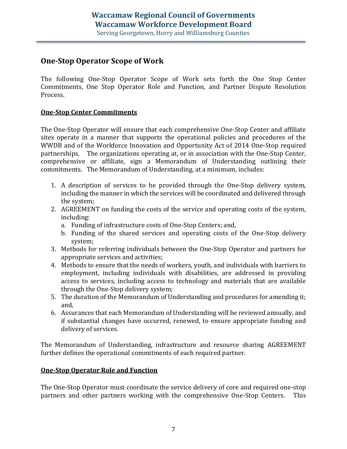### **One-Stop Operator Scope of Work**

The following One-Stop Operator Scope of Work sets forth the One Stop Center Commitments, One Stop Operator Role and Function, and Partner Dispute Resolution Process.

#### **One-Stop Center Commitments**

The One-Stop Operator will ensure that each comprehensive One-Stop Center and affiliate sites operate in a manner that supports the operational policies and procedures of the WWDB and of the Workforce Innovation and Opportunity Act of 2014 One-Stop required partnerships. The organizations operating at, or in association with the One-Stop Center, comprehensive or affiliate, sign a Memorandum of Understanding outlining their commitments. The Memorandum of Understanding, at a minimum, includes:

- 1. A description of services to be provided through the One-Stop delivery system, including the manner in which the services will be coordinated and delivered through the system;
- 2. AGREEMENT on funding the costs of the service and operating costs of the system, including:
	- a. Funding of infrastructure costs of One-Stop Centers; and,
	- b. Funding of the shared services and operating costs of the One-Stop delivery system;
- 3. Methods for referring individuals between the One-Stop Operator and partners for appropriate services and activities;
- 4. Methods to ensure that the needs of workers, youth, and individuals with barriers to employment, including individuals with disabilities, are addressed in providing access to services, including access to technology and materials that are available through the One-Stop delivery system;
- 5. The duration of the Memorandum of Understanding and procedures for amending it; and,
- 6. Assurances that each Memorandum of Understanding will be reviewed annually, and if substantial changes have occurred, renewed, to ensure appropriate funding and delivery of services.

The Memorandum of Understanding, infrastructure and resource sharing AGREEMENT further defines the operational commitments of each required partner.

#### **One-Stop Operator Role and Function**

The One-Stop Operator must coordinate the service delivery of core and required one-stop partners and other partners working with the comprehensive One-Stop Centers. This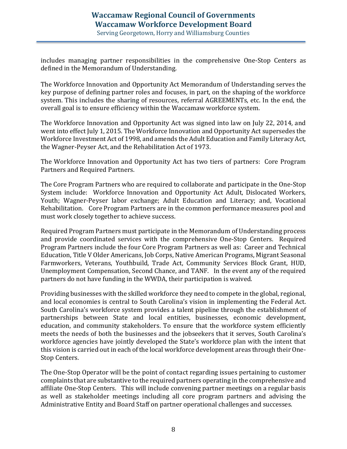Serving Georgetown, Horry and Williamsburg Counties

includes managing partner responsibilities in the comprehensive One-Stop Centers as defined in the Memorandum of Understanding.

The Workforce Innovation and Opportunity Act Memorandum of Understanding serves the key purpose of defining partner roles and focuses, in part, on the shaping of the workforce system. This includes the sharing of resources, referral AGREEMENTs, etc. In the end, the overall goal is to ensure efficiency within the Waccamaw workforce system.

The Workforce Innovation and Opportunity Act was signed into law on July 22, 2014, and went into effect July 1, 2015. The Workforce Innovation and Opportunity Act supersedes the Workforce Investment Act of 1998, and amends the Adult Education and Family Literacy Act, the Wagner-Peyser Act, and the Rehabilitation Act of 1973.

The Workforce Innovation and Opportunity Act has two tiers of partners: Core Program Partners and Required Partners.

The Core Program Partners who are required to collaborate and participate in the One-Stop System include: Workforce Innovation and Opportunity Act Adult, Dislocated Workers, Youth; Wagner-Peyser labor exchange; Adult Education and Literacy; and, Vocational Rehabilitation. Core Program Partners are in the common performance measures pool and must work closely together to achieve success.

Required Program Partners must participate in the Memorandum of Understanding process and provide coordinated services with the comprehensive One-Stop Centers. Required Program Partners include the four Core Program Partners as well as: Career and Technical Education, Title V Older Americans, Job Corps, Native American Programs, Migrant Seasonal Farmworkers, Veterans, Youthbuild, Trade Act, Community Services Block Grant, HUD, Unemployment Compensation, Second Chance, and TANF. In the event any of the required partners do not have funding in the WWDA, their participation is waived.

Providing businesses with the skilled workforce they need to compete in the global, regional, and local economies is central to South Carolina's vision in implementing the Federal Act. South Carolina's workforce system provides a talent pipeline through the establishment of partnerships between State and local entities, businesses, economic development, education, and community stakeholders. To ensure that the workforce system efficiently meets the needs of both the businesses and the jobseekers that it serves, South Carolina's workforce agencies have jointly developed the State's workforce plan with the intent that this vision is carried out in each of the local workforce development areas through their One-Stop Centers.

The One-Stop Operator will be the point of contact regarding issues pertaining to customer complaints that are substantive to the required partners operating in the comprehensive and affiliate One-Stop Centers. This will include convening partner meetings on a regular basis as well as stakeholder meetings including all core program partners and advising the Administrative Entity and Board Staff on partner operational challenges and successes.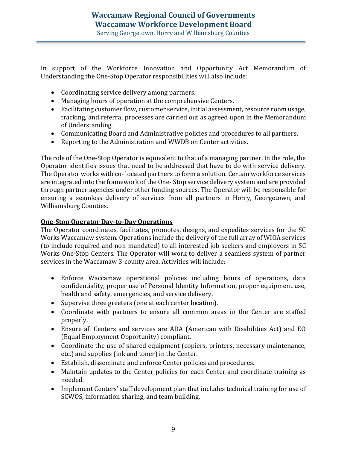In support of the Workforce Innovation and Opportunity Act Memorandum of Understanding the One-Stop Operator responsibilities will also include:

- Coordinating service delivery among partners.
- Managing hours of operation at the comprehensive Centers.
- Facilitating customer flow, customer service, initial assessment, resource room usage, tracking, and referral processes are carried out as agreed upon in the Memorandum of Understanding.
- Communicating Board and Administrative policies and procedures to all partners.
- Reporting to the Administration and WWDB on Center activities.

The role of the One-Stop Operator is equivalent to that of a managing partner. In the role, the Operator identifies issues that need to be addressed that have to do with service delivery. The Operator works with co- located partners to form a solution. Certain workforce services are integrated into the framework of the One- Stop service delivery system and are provided through partner agencies under other funding sources. The Operator will be responsible for ensuring a seamless delivery of services from all partners in Horry, Georgetown, and Williamsburg Counties.

#### **One-Stop Operator Day-to-Day Operations**

The Operator coordinates, facilitates, promotes, designs, and expedites services for the SC Works Waccamaw system. Operations include the delivery of the full array of WIOA services (to include required and non-mandated) to all interested job seekers and employers in SC Works One-Stop Centers. The Operator will work to deliver a seamless system of partner services in the Waccamaw 3-county area. Activities will include:

- Enforce Waccamaw operational policies including hours of operations, data confidentiality, proper use of Personal Identity Information, proper equipment use, health and safety, emergencies, and service delivery.
- Supervise three greeters (one at each center location).
- Coordinate with partners to ensure all common areas in the Center are staffed properly.
- Ensure all Centers and services are ADA (American with Disabilities Act) and EO (Equal Employment Opportunity) compliant.
- Coordinate the use of shared equipment (copiers, printers, necessary maintenance, etc.) and supplies (ink and toner) in the Center.
- Establish, disseminate and enforce Center policies and procedures.
- Maintain updates to the Center policies for each Center and coordinate training as needed.
- Implement Centers' staff development plan that includes technical training for use of SCWOS, information sharing, and team building.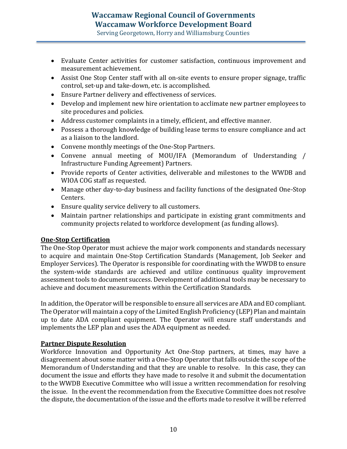Serving Georgetown, Horry and Williamsburg Counties

- Evaluate Center activities for customer satisfaction, continuous improvement and measurement achievement.
- Assist One Stop Center staff with all on-site events to ensure proper signage, traffic control, set-up and take-down, etc. is accomplished.
- Ensure Partner delivery and effectiveness of services.
- Develop and implement new hire orientation to acclimate new partner employees to site procedures and policies.
- Address customer complaints in a timely, efficient, and effective manner.
- Possess a thorough knowledge of building lease terms to ensure compliance and act as a liaison to the landlord.
- Convene monthly meetings of the One-Stop Partners.
- Convene annual meeting of MOU/IFA (Memorandum of Understanding / Infrastructure Funding Agreement) Partners.
- Provide reports of Center activities, deliverable and milestones to the WWDB and WIOA COG staff as requested.
- Manage other day-to-day business and facility functions of the designated One-Stop Centers.
- Ensure quality service delivery to all customers.
- Maintain partner relationships and participate in existing grant commitments and community projects related to workforce development (as funding allows).

#### **One-Stop Certification**

The One-Stop Operator must achieve the major work components and standards necessary to acquire and maintain One-Stop Certification Standards (Management, Job Seeker and Employer Services). The Operator is responsible for coordinating with the WWDB to ensure the system-wide standards are achieved and utilize continuous quality improvement assessment tools to document success. Development of additional tools may be necessary to achieve and document measurements within the Certification Standards.

In addition, the Operator will be responsible to ensure all services are ADA and EO compliant. The Operator will maintain a copy of the Limited English Proficiency (LEP) Plan and maintain up to date ADA compliant equipment. The Operator will ensure staff understands and implements the LEP plan and uses the ADA equipment as needed.

#### **Partner Dispute Resolution**

Workforce Innovation and Opportunity Act One-Stop partners, at times, may have a disagreement about some matter with a One-Stop Operator that falls outside the scope of the Memorandum of Understanding and that they are unable to resolve. In this case, they can document the issue and efforts they have made to resolve it and submit the documentation to the WWDB Executive Committee who will issue a written recommendation for resolving the issue. In the event the recommendation from the Executive Committee does not resolve the dispute, the documentation of the issue and the efforts made to resolve it will be referred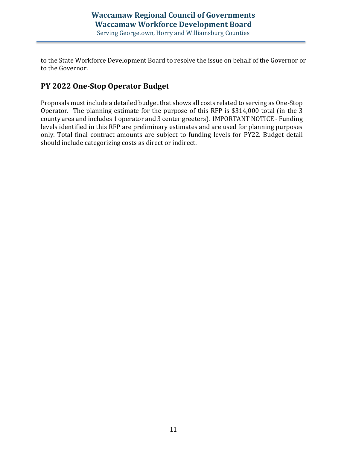to the State Workforce Development Board to resolve the issue on behalf of the Governor or to the Governor.

### **PY 2022 One-Stop Operator Budget**

Proposals must include a detailed budget that shows all costs related to serving as One-Stop Operator. The planning estimate for the purpose of this RFP is \$314,000 total (in the 3 county area and includes 1 operator and 3 center greeters). IMPORTANT NOTICE - Funding levels identified in this RFP are preliminary estimates and are used for planning purposes only. Total final contract amounts are subject to funding levels for PY22. Budget detail should include categorizing costs as direct or indirect.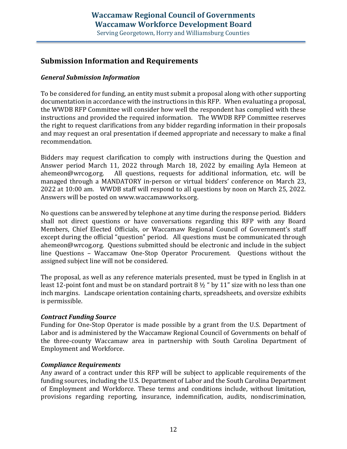### **Submission Information and Requirements**

#### *General Submission Information*

To be considered for funding, an entity must submit a proposal along with other supporting documentation in accordance with the instructions in this RFP. When evaluating a proposal, the WWDB RFP Committee will consider how well the respondent has complied with these instructions and provided the required information. The WWDB RFP Committee reserves the right to request clarifications from any bidder regarding information in their proposals and may request an oral presentation if deemed appropriate and necessary to make a final recommendation.

Bidders may request clarification to comply with instructions during the Question and Answer period March 11, 2022 through March 18, 2022 by emailing Ayla Hemeon at ahemeon@wrcog.org. All questions, requests for additional information, etc. will be managed through a MANDATORY in-person or virtual bidders' conference on March 23, 2022 at 10:00 am. WWDB staff will respond to all questions by noon on March 25, 2022. Answers will be posted on [www.waccamawworks.org.](http://www.waccamawworks.org/)

No questions can be answered by telephone at any time during the response period. Bidders shall not direct questions or have conversations regarding this RFP with any Board Members, Chief Elected Officials, or Waccamaw Regional Council of Government's staff except during the official "question" period. All questions must be communicated through [ahemeon@wrcog.org.](mailto:ahemeon@wrcog.org) Questions submitted should be electronic and include in the subject line Questions – Waccamaw One-Stop Operator Procurement. Questions without the assigned subject line will not be considered.

The proposal, as well as any reference materials presented, must be typed in English in at least 12-point font and must be on standard portrait 8  $\frac{1}{2}$  " by 11" size with no less than one inch margins. Landscape orientation containing charts, spreadsheets, and oversize exhibits is permissible.

#### *Contract Funding Source*

Funding for One-Stop Operator is made possible by a grant from the U.S. Department of Labor and is administered by the Waccamaw Regional Council of Governments on behalf of the three-county Waccamaw area in partnership with South Carolina Department of Employment and Workforce.

#### *Compliance Requirements*

Any award of a contract under this RFP will be subject to applicable requirements of the funding sources, including the U.S. Department of Labor and the South Carolina Department of Employment and Workforce. These terms and conditions include, without limitation, provisions regarding reporting, insurance, indemnification, audits, nondiscrimination,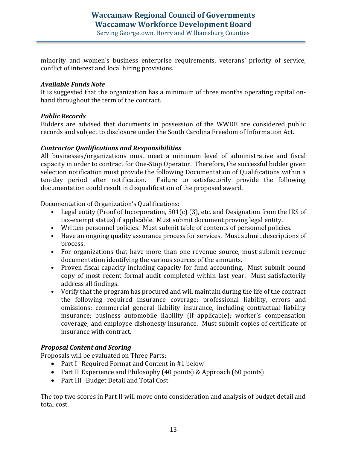Serving Georgetown, Horry and Williamsburg Counties

minority and women's business enterprise requirements, veterans' priority of service, conflict of interest and local hiring provisions.

#### *Available Funds Note*

It is suggested that the organization has a minimum of three months operating capital onhand throughout the term of the contract.

#### *Public Records*

Bidders are advised that documents in possession of the WWDB are considered public records and subject to disclosure under the South Carolina Freedom of Information Act.

#### *Contractor Qualifications and Responsibilities*

All businesses/organizations must meet a minimum level of administrative and fiscal capacity in order to contract for One-Stop Operator. Therefore, the successful bidder given selection notification must provide the following Documentation of Qualifications within a ten-day period after notification. Failure to satisfactorily provide the following documentation could result in disqualification of the proposed award.

Documentation of Organization's Qualifications:

- Legal entity (Proof of Incorporation, 501(c) (3), etc. and Designation from the IRS of tax-exempt status) if applicable. Must submit document proving legal entity.
- Written personnel policies. Must submit table of contents of personnel policies.
- Have an ongoing quality assurance process for services. Must submit descriptions of process.
- For organizations that have more than one revenue source, must submit revenue documentation identifying the various sources of the amounts.
- Proven fiscal capacity including capacity for fund accounting. Must submit bound copy of most recent formal audit completed within last year. Must satisfactorily address all findings.
- Verify that the program has procured and will maintain during the life of the contract the following required insurance coverage: professional liability, errors and omissions; commercial general liability insurance, including contractual liability insurance; business automobile liability (if applicable); worker's compensation coverage; and employee dishonesty insurance. Must submit copies of certificate of insurance with contract.

#### *Proposal Content and Scoring*

Proposals will be evaluated on Three Parts:

- Part I Required Format and Content in #1 below
- Part II Experience and Philosophy (40 points) & Approach (60 points)
- Part III Budget Detail and Total Cost

The top two scores in Part II will move onto consideration and analysis of budget detail and total cost.